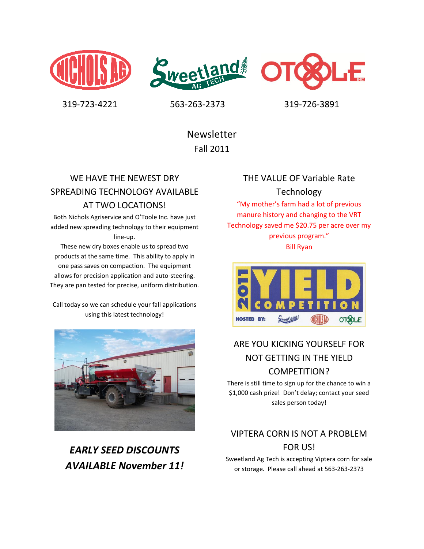





319-723-4221 563-263-2373 319-726-3891

Newsletter Fall 2011

## WE HAVE THE NEWEST DRY SPREADING TECHNOLOGY AVAILABLE AT TWO LOCATIONS!

Both Nichols Agriservice and O'Toole Inc. have just added new spreading technology to their equipment line-up.

These new dry boxes enable us to spread two products at the same time. This ability to apply in one pass saves on compaction. The equipment allows for precision application and auto-steering. They are pan tested for precise, uniform distribution.

Call today so we can schedule your fall applications using this latest technology!



*EARLY SEED DISCOUNTS AVAILABLE November 11!*

### THE VALUE OF Variable Rate Technology

"My mother's farm had a lot of previous manure history and changing to the VRT Technology saved me \$20.75 per acre over my previous program." Bill Ryan



## ARE YOU KICKING YOURSELF FOR NOT GETTING IN THE YIELD COMPETITION?

There is still time to sign up for the chance to win a \$1,000 cash prize! Don't delay; contact your seed sales person today!

## VIPTERA CORN IS NOT A PROBLEM FOR US!

Sweetland Ag Tech is accepting Viptera corn for sale or storage. Please call ahead at 563-263-2373